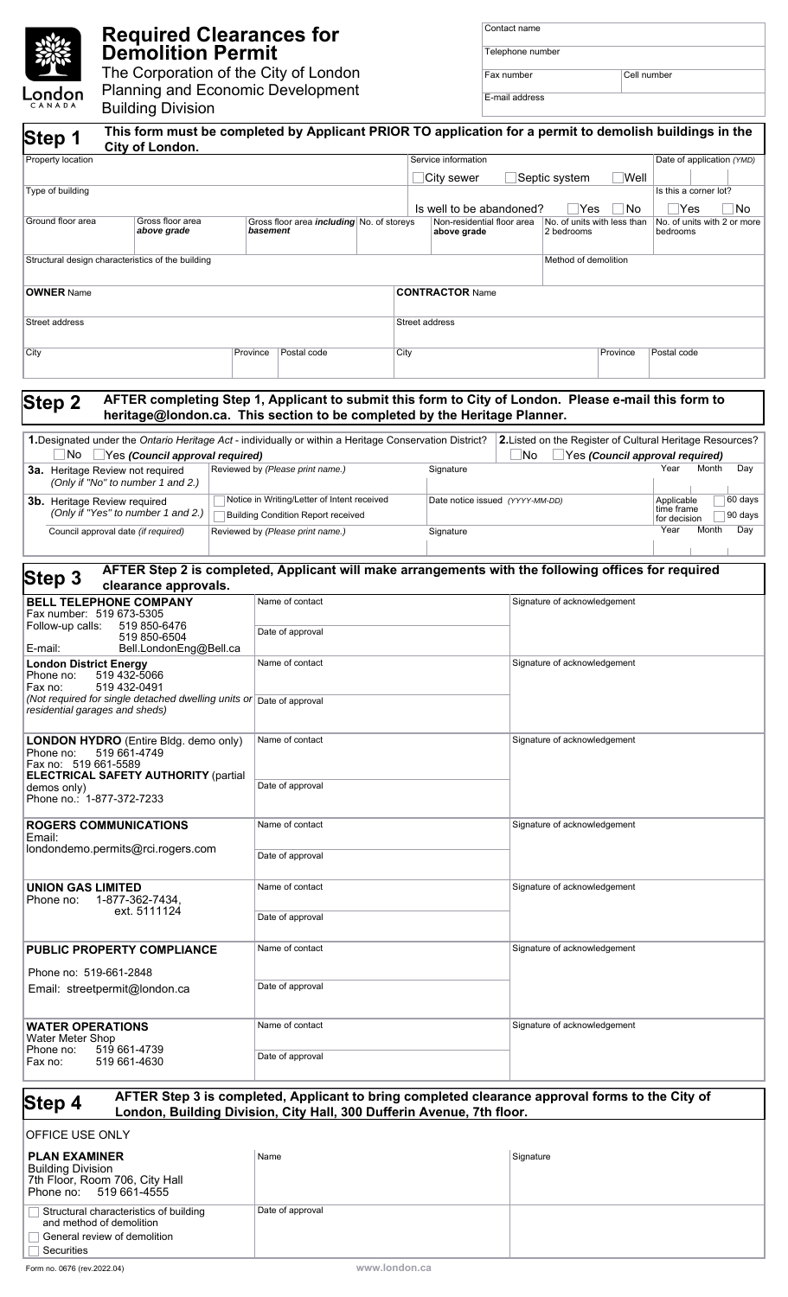## **Required Clearances for Demolition Permit**

The Corporation of the City of London Planning and Economic Development London Building Division

| Contact name     |             |
|------------------|-------------|
| Telephone number |             |
| Fax number       | Cell number |

E-mail address

| CANADA<br>Step 1                                                                                                                                                                                | <b>Building Division</b>                                                 |  |                                                                               | This form must be completed by Applicant PRIOR TO application for a permit to demolish buildings in the                                                                           |                |                                           |                                           |                              |                                         |                                                                  |
|-------------------------------------------------------------------------------------------------------------------------------------------------------------------------------------------------|--------------------------------------------------------------------------|--|-------------------------------------------------------------------------------|-----------------------------------------------------------------------------------------------------------------------------------------------------------------------------------|----------------|-------------------------------------------|-------------------------------------------|------------------------------|-----------------------------------------|------------------------------------------------------------------|
| City of London.<br>Property location                                                                                                                                                            |                                                                          |  |                                                                               |                                                                                                                                                                                   |                | Service information                       |                                           | Date of application (YMD)    |                                         |                                                                  |
|                                                                                                                                                                                                 |                                                                          |  | Septic system<br>City sewer                                                   |                                                                                                                                                                                   |                | Well                                      |                                           |                              |                                         |                                                                  |
| Type of building                                                                                                                                                                                |                                                                          |  |                                                                               |                                                                                                                                                                                   |                | Is well to be abandoned?                  |                                           | _Yes                         | No                                      | Is this a corner lot?<br>$\mathsf{\neg \mathsf{Yes}}$<br>No      |
| Ground floor area<br>Gross floor area<br>above grade                                                                                                                                            |                                                                          |  | basement                                                                      | Gross floor area <i>including</i> No. of storeys                                                                                                                                  |                | Non-residential floor area<br>above grade | No. of units with less than<br>2 bedrooms |                              | No. of units with 2 or more<br>bedrooms |                                                                  |
| Structural design characteristics of the building                                                                                                                                               |                                                                          |  |                                                                               |                                                                                                                                                                                   |                |                                           |                                           | Method of demolition         |                                         |                                                                  |
| <b>OWNER</b> Name                                                                                                                                                                               |                                                                          |  |                                                                               |                                                                                                                                                                                   |                | <b>CONTRACTOR Name</b>                    |                                           |                              |                                         |                                                                  |
| Street address                                                                                                                                                                                  |                                                                          |  |                                                                               |                                                                                                                                                                                   | Street address |                                           |                                           |                              |                                         |                                                                  |
| City                                                                                                                                                                                            |                                                                          |  | Province                                                                      | Postal code                                                                                                                                                                       | City           |                                           |                                           |                              | Province                                | Postal code                                                      |
| <b>Step 2</b>                                                                                                                                                                                   |                                                                          |  |                                                                               | AFTER completing Step 1, Applicant to submit this form to City of London. Please e-mail this form to<br>heritage@london.ca. This section to be completed by the Heritage Planner. |                |                                           |                                           |                              |                                         |                                                                  |
|                                                                                                                                                                                                 |                                                                          |  |                                                                               | 1. Designated under the Ontario Heritage Act - individually or within a Heritage Conservation District?                                                                           |                |                                           |                                           |                              |                                         | <b>2.</b> Listed on the Register of Cultural Heritage Resources? |
| No.<br>3a. Heritage Review not required                                                                                                                                                         | Yes (Council approval required)                                          |  |                                                                               | Reviewed by (Please print name.)                                                                                                                                                  |                | Signature                                 | No                                        |                              |                                         | Yes (Council approval required)<br>Year<br>Month<br>Day          |
|                                                                                                                                                                                                 | (Only if "No" to number 1 and 2.)<br><b>3b.</b> Heritage Review required |  |                                                                               | Notice in Writing/Letter of Intent received                                                                                                                                       |                | Date notice issued (YYYY-MM-DD)           |                                           |                              | 60 days<br>Applicable                   |                                                                  |
| (Only if "Yes" to number 1 and 2.)<br>Council approval date (if required)                                                                                                                       |                                                                          |  | <b>Building Condition Report received</b><br>Reviewed by (Please print name.) |                                                                                                                                                                                   |                | Signature                                 |                                           |                              |                                         | time frame<br>90 days<br>for decision<br>Year<br>Month<br>Day    |
|                                                                                                                                                                                                 |                                                                          |  |                                                                               | AFTER Step 2 is completed, Applicant will make arrangements with the following offices for required                                                                               |                |                                           |                                           |                              |                                         |                                                                  |
| Step 3                                                                                                                                                                                          | clearance approvals.                                                     |  |                                                                               |                                                                                                                                                                                   |                |                                           |                                           |                              |                                         |                                                                  |
| <b>BELL TELEPHONE COMPANY</b><br>Fax number: 519 673-5305                                                                                                                                       |                                                                          |  |                                                                               | Name of contact                                                                                                                                                                   |                |                                           |                                           | Signature of acknowledgement |                                         |                                                                  |
| Follow-up calls:<br>519 850-6476<br>519 850-6504<br>E-mail:<br>Bell.LondonEng@Bell.ca                                                                                                           |                                                                          |  |                                                                               | Date of approval                                                                                                                                                                  |                |                                           |                                           |                              |                                         |                                                                  |
| <b>London District Energy</b><br>519 432-5066<br>Phone no:<br>519 432-0491<br>Fax no:<br>(Not required for single detached dwelling units or Date of approval<br>residential garages and sheds) |                                                                          |  | Name of contact                                                               |                                                                                                                                                                                   |                | Signature of acknowledgement              |                                           |                              |                                         |                                                                  |
|                                                                                                                                                                                                 |                                                                          |  |                                                                               |                                                                                                                                                                                   |                |                                           |                                           |                              |                                         |                                                                  |
| <b>LONDON HYDRO</b> (Entire Bldg. demo only)<br>Phone no:<br>Fax no: 519 661-5589                                                                                                               | 519 661-4749                                                             |  |                                                                               | Name of contact                                                                                                                                                                   |                |                                           |                                           | Signature of acknowledgement |                                         |                                                                  |
| <b>ELECTRICAL SAFETY AUTHORITY (partial</b><br>demos only)<br>Phone no.: 1-877-372-7233                                                                                                         |                                                                          |  | Date of approval                                                              |                                                                                                                                                                                   |                |                                           |                                           |                              |                                         |                                                                  |
| <b>ROGERS COMMUNICATIONS</b>                                                                                                                                                                    |                                                                          |  | Name of contact                                                               |                                                                                                                                                                                   |                | Signature of acknowledgement              |                                           |                              |                                         |                                                                  |
| Email:<br>londondemo.permits@rci.rogers.com                                                                                                                                                     |                                                                          |  |                                                                               | Date of approval                                                                                                                                                                  |                |                                           |                                           |                              |                                         |                                                                  |
| <b>UNION GAS LIMITED</b><br>1-877-362-7434,<br>Phone no:<br>ext. 5111124                                                                                                                        |                                                                          |  |                                                                               | Name of contact                                                                                                                                                                   |                |                                           | Signature of acknowledgement              |                              |                                         |                                                                  |
|                                                                                                                                                                                                 |                                                                          |  | Date of approval                                                              |                                                                                                                                                                                   |                |                                           |                                           |                              |                                         |                                                                  |
| <b>PUBLIC PROPERTY COMPLIANCE</b>                                                                                                                                                               |                                                                          |  |                                                                               | Name of contact                                                                                                                                                                   |                |                                           |                                           | Signature of acknowledgement |                                         |                                                                  |
| Phone no: 519-661-2848<br>Email: streetpermit@london.ca                                                                                                                                         |                                                                          |  | Date of approval                                                              |                                                                                                                                                                                   |                |                                           |                                           |                              |                                         |                                                                  |
| <b>WATER OPERATIONS</b><br><b>Water Meter Shop</b><br>519 661-4739<br>Phone no:<br>519 661-4630<br>Fax no:                                                                                      |                                                                          |  | Name of contact                                                               |                                                                                                                                                                                   |                | Signature of acknowledgement              |                                           |                              |                                         |                                                                  |
|                                                                                                                                                                                                 |                                                                          |  | Date of approval                                                              |                                                                                                                                                                                   |                |                                           |                                           |                              |                                         |                                                                  |
| Step 4                                                                                                                                                                                          |                                                                          |  |                                                                               | AFTER Step 3 is completed, Applicant to bring completed clearance approval forms to the City of<br>London, Building Division, City Hall, 300 Dufferin Avenue, 7th floor.          |                |                                           |                                           |                              |                                         |                                                                  |
| OFFICE USE ONLY                                                                                                                                                                                 |                                                                          |  |                                                                               |                                                                                                                                                                                   |                |                                           |                                           |                              |                                         |                                                                  |
| <b>PLAN EXAMINER</b><br><b>Building Division</b><br>7th Floor, Room 706, City Hall<br>519 661-4555<br>Phone no:                                                                                 |                                                                          |  | Name                                                                          |                                                                                                                                                                                   |                |                                           | Signature                                 |                              |                                         |                                                                  |
| Structural characteristics of building                                                                                                                                                          |                                                                          |  |                                                                               | Date of approval                                                                                                                                                                  |                |                                           |                                           |                              |                                         |                                                                  |

 $\Box$  Securities

and method of demolition General review of demolition